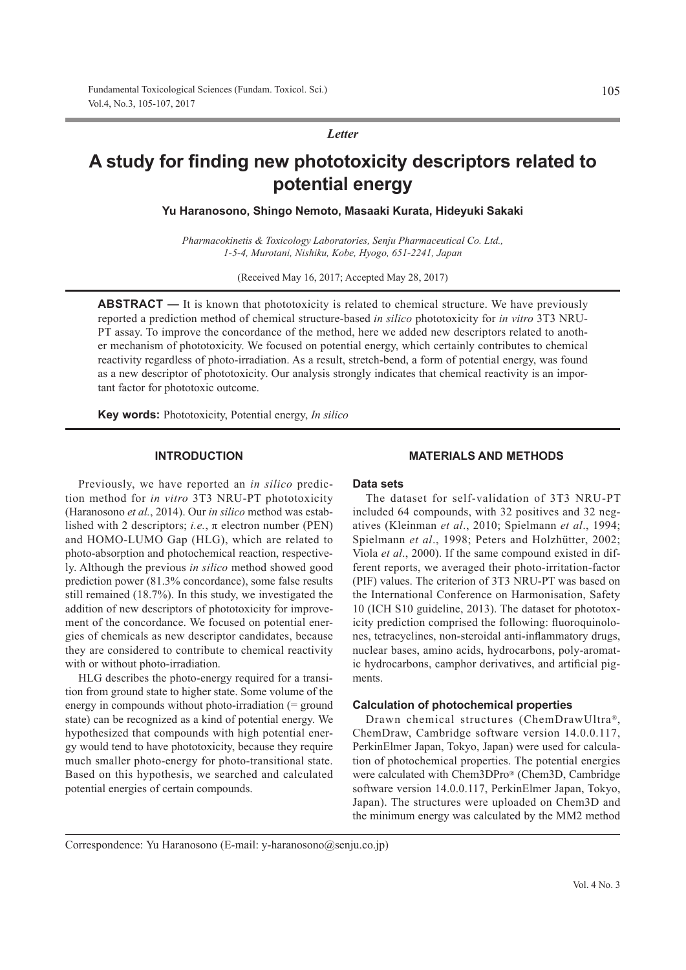*Letter*

# **A study for finding new phototoxicity descriptors related to potential energy**

**Yu Haranosono, Shingo Nemoto, Masaaki Kurata, Hideyuki Sakaki**

*Pharmacokinetis & Toxicology Laboratories, Senju Pharmaceutical Co. Ltd., 1-5-4, Murotani, Nishiku, Kobe, Hyogo, 651-2241, Japan*

(Received May 16, 2017; Accepted May 28, 2017)

**ABSTRACT** — It is known that phototoxicity is related to chemical structure. We have previously reported a prediction method of chemical structure-based *in silico* phototoxicity for *in vitro* 3T3 NRU-PT assay. To improve the concordance of the method, here we added new descriptors related to another mechanism of phototoxicity. We focused on potential energy, which certainly contributes to chemical reactivity regardless of photo-irradiation. As a result, stretch-bend, a form of potential energy, was found as a new descriptor of phototoxicity. Our analysis strongly indicates that chemical reactivity is an important factor for phototoxic outcome.

**Key words:** Phototoxicity, Potential energy, *In silico*

## **INTRODUCTION**

Previously, we have reported an *in silico* prediction method for *in vitro* 3T3 NRU-PT phototoxicity (Haranosono *et al.*, 2014). Our *in silico* method was established with 2 descriptors; *i.e.*, π electron number (PEN) and HOMO-LUMO Gap (HLG), which are related to photo-absorption and photochemical reaction, respectively. Although the previous *in silico* method showed good prediction power (81.3% concordance), some false results still remained (18.7%). In this study, we investigated the addition of new descriptors of phototoxicity for improvement of the concordance. We focused on potential energies of chemicals as new descriptor candidates, because they are considered to contribute to chemical reactivity with or without photo-irradiation.

HLG describes the photo-energy required for a transition from ground state to higher state. Some volume of the energy in compounds without photo-irradiation (= ground state) can be recognized as a kind of potential energy. We hypothesized that compounds with high potential energy would tend to have phototoxicity, because they require much smaller photo-energy for photo-transitional state. Based on this hypothesis, we searched and calculated potential energies of certain compounds.

## **MATERIALS AND METHODS**

## **Data sets**

The dataset for self-validation of 3T3 NRU-PT included 64 compounds, with 32 positives and 32 negatives (Kleinman *et al*., 2010; Spielmann *et al*., 1994; Spielmann *et al*., 1998; Peters and Holzhütter, 2002; Viola *et al*., 2000). If the same compound existed in different reports, we averaged their photo-irritation-factor (PIF) values. The criterion of 3T3 NRU-PT was based on the International Conference on Harmonisation, Safety 10 (ICH S10 guideline, 2013). The dataset for phototoxicity prediction comprised the following: fluoroquinolones, tetracyclines, non-steroidal anti-inflammatory drugs, nuclear bases, amino acids, hydrocarbons, poly-aromatic hydrocarbons, camphor derivatives, and artificial pigments.

## **Calculation of photochemical properties**

Drawn chemical structures (ChemDrawUltra®, ChemDraw, Cambridge software version 14.0.0.117, PerkinElmer Japan, Tokyo, Japan) were used for calculation of photochemical properties. The potential energies were calculated with Chem3DPro® (Chem3D, Cambridge software version 14.0.0.117, PerkinElmer Japan, Tokyo, Japan). The structures were uploaded on Chem3D and the minimum energy was calculated by the MM2 method

Correspondence: Yu Haranosono (E-mail: y-haranosono@senju.co.jp)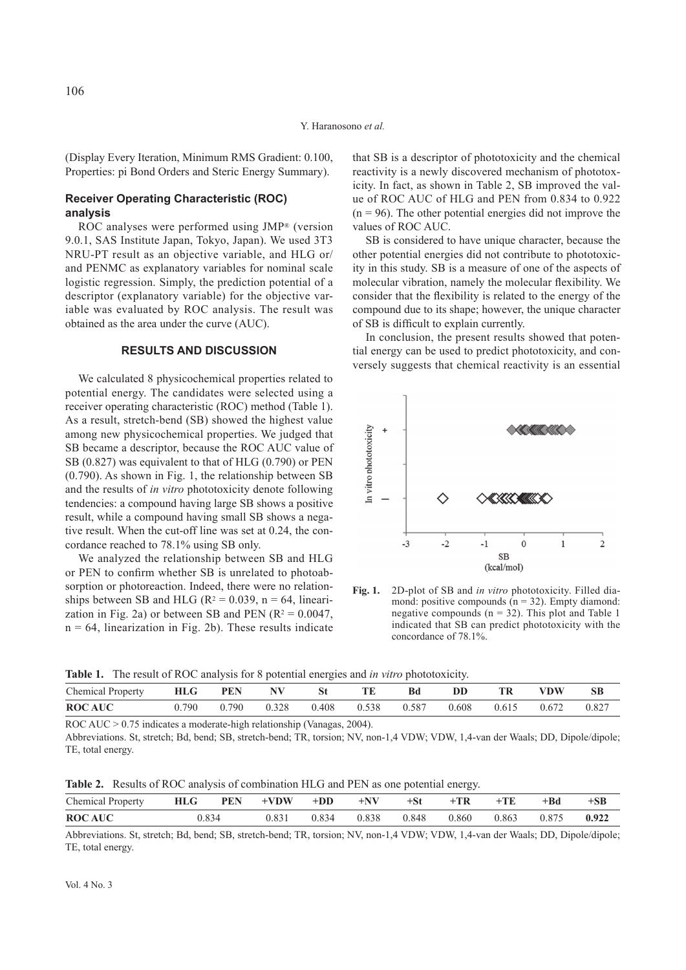(Display Every Iteration, Minimum RMS Gradient: 0.100, Properties: pi Bond Orders and Steric Energy Summary).

## **Receiver Operating Characteristic (ROC) analysis**

ROC analyses were performed using JMP® (version 9.0.1, SAS Institute Japan, Tokyo, Japan). We used 3T3 NRU-PT result as an objective variable, and HLG or/ and PENMC as explanatory variables for nominal scale logistic regression. Simply, the prediction potential of a descriptor (explanatory variable) for the objective variable was evaluated by ROC analysis. The result was obtained as the area under the curve (AUC).

## **RESULTS AND DISCUSSION**

We calculated 8 physicochemical properties related to potential energy. The candidates were selected using a receiver operating characteristic (ROC) method (Table 1). As a result, stretch-bend (SB) showed the highest value among new physicochemical properties. We judged that SB became a descriptor, because the ROC AUC value of SB (0.827) was equivalent to that of HLG (0.790) or PEN (0.790). As shown in Fig. 1, the relationship between SB and the results of *in vitro* phototoxicity denote following tendencies: a compound having large SB shows a positive result, while a compound having small SB shows a negative result. When the cut-off line was set at 0.24, the concordance reached to 78.1% using SB only.

We analyzed the relationship between SB and HLG or PEN to confirm whether SB is unrelated to photoabsorption or photoreaction. Indeed, there were no relationships between SB and HLG ( $R^2 = 0.039$ ,  $n = 64$ , linearization in Fig. 2a) or between SB and PEN  $(R^2 = 0.0047)$ ,  $n = 64$ , linearization in Fig. 2b). These results indicate

that SB is a descriptor of phototoxicity and the chemical reactivity is a newly discovered mechanism of phototoxicity. In fact, as shown in Table 2, SB improved the value of ROC AUC of HLG and PEN from 0.834 to 0.922  $(n = 96)$ . The other potential energies did not improve the values of ROC AUC.

SB is considered to have unique character, because the other potential energies did not contribute to phototoxicity in this study. SB is a measure of one of the aspects of molecular vibration, namely the molecular flexibility. We consider that the flexibility is related to the energy of the compound due to its shape; however, the unique character of SB is difficult to explain currently.

In conclusion, the present results showed that potential energy can be used to predict phototoxicity, and conversely suggests that chemical reactivity is an essential



**Fig. 1.** 2D-plot of SB and *in vitro* phototoxicity. Filled diamond: positive compounds  $(n = 32)$ . Empty diamond: negative compounds  $(n = 32)$ . This plot and Table 1 indicated that SB can predict phototoxicity with the concordance of 78.1%.

| Table 1. The result of ROC analysis for 8 potential energies and in vitro phototoxicity. |  |  |
|------------------------------------------------------------------------------------------|--|--|
|                                                                                          |  |  |

| <b>Chemical Property</b> | HLG   | <b>PEN</b> | NV    |             |       | DD | TR          | VDW   | <b>SB</b> |
|--------------------------|-------|------------|-------|-------------|-------|----|-------------|-------|-----------|
| <b>ROCAUC</b>            | 0.790 | 0.790      | 0.328 | 0.408 0.538 | 0.587 |    | 0.608 0.615 | 0.672 | 0.827     |

ROC AUC > 0.75 indicates a moderate-high relationship (Vanagas, 2004).

Abbreviations. St, stretch; Bd, bend; SB, stretch-bend; TR, torsion; NV, non-1,4 VDW; VDW, 1,4-van der Waals; DD, Dipole/dipole; TE, total energy.

**Table 2.** Results of ROC analysis of combination HLG and PEN as one potential energy.

| Chemical Property $HLG$ PEN +VDW +DD +NV +St +TR +TE +Bd |       |  |  |  |                                           | $+SB$ |
|----------------------------------------------------------|-------|--|--|--|-------------------------------------------|-------|
| <b>ROCAUC</b>                                            | 0.834 |  |  |  | 0.831 0.834 0.838 0.848 0.860 0.863 0.875 | 0.922 |

Abbreviations. St, stretch; Bd, bend; SB, stretch-bend; TR, torsion; NV, non-1,4 VDW; VDW, 1,4-van der Waals; DD, Dipole/dipole; TE, total energy.